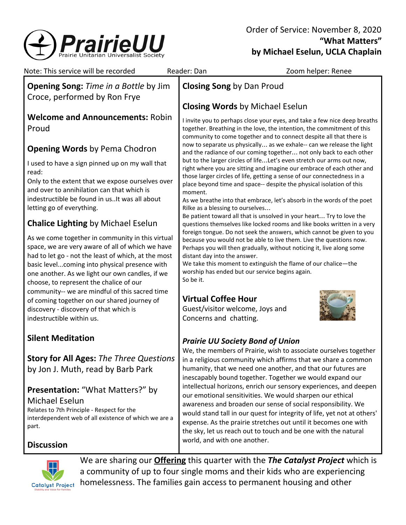

| Note: This service will be recorded                                                                                                                                                                                                                                                                        | Reader: Dan                                                                                                                                                                                                                                                                                                                                                                                                                                                                                                                                | Zoom helper: Renee                                                                                                                                                                                                                                                                                                                        |
|------------------------------------------------------------------------------------------------------------------------------------------------------------------------------------------------------------------------------------------------------------------------------------------------------------|--------------------------------------------------------------------------------------------------------------------------------------------------------------------------------------------------------------------------------------------------------------------------------------------------------------------------------------------------------------------------------------------------------------------------------------------------------------------------------------------------------------------------------------------|-------------------------------------------------------------------------------------------------------------------------------------------------------------------------------------------------------------------------------------------------------------------------------------------------------------------------------------------|
| <b>Opening Song:</b> Time in a Bottle by Jim<br>Croce, performed by Ron Frye                                                                                                                                                                                                                               | <b>Closing Song by Dan Proud</b>                                                                                                                                                                                                                                                                                                                                                                                                                                                                                                           |                                                                                                                                                                                                                                                                                                                                           |
|                                                                                                                                                                                                                                                                                                            | <b>Closing Words by Michael Eselun</b>                                                                                                                                                                                                                                                                                                                                                                                                                                                                                                     |                                                                                                                                                                                                                                                                                                                                           |
| <b>Welcome and Announcements: Robin</b><br>Proud                                                                                                                                                                                                                                                           | I invite you to perhaps close your eyes, and take a few nice deep breaths<br>together. Breathing in the love, the intention, the commitment of this<br>community to come together and to connect despite all that there is                                                                                                                                                                                                                                                                                                                 |                                                                                                                                                                                                                                                                                                                                           |
| <b>Opening Words by Pema Chodron</b>                                                                                                                                                                                                                                                                       |                                                                                                                                                                                                                                                                                                                                                                                                                                                                                                                                            | now to separate us physically as we exhale-- can we release the light<br>and the radiance of our coming together not only back to each other                                                                                                                                                                                              |
| I used to have a sign pinned up on my wall that<br>read:<br>Only to the extent that we expose ourselves over                                                                                                                                                                                               |                                                                                                                                                                                                                                                                                                                                                                                                                                                                                                                                            | but to the larger circles of lifeLet's even stretch our arms out now,<br>right where you are sitting and imagine our embrace of each other and<br>those larger circles of life, getting a sense of our connectedness in a<br>place beyond time and space-- despite the physical isolation of this                                         |
| and over to annihilation can that which is<br>indestructible be found in usIt was all about<br>letting go of everything.                                                                                                                                                                                   | moment.<br>Rilke as a blessing to ourselves                                                                                                                                                                                                                                                                                                                                                                                                                                                                                                | As we breathe into that embrace, let's absorb in the words of the poet                                                                                                                                                                                                                                                                    |
| <b>Chalice Lighting by Michael Eselun</b>                                                                                                                                                                                                                                                                  | Be patient toward all that is unsolved in your heart Try to love the<br>questions themselves like locked rooms and like books written in a very<br>foreign tongue. Do not seek the answers, which cannot be given to you<br>because you would not be able to live them. Live the questions now.<br>Perhaps you will then gradually, without noticing it, live along some<br>distant day into the answer.<br>We take this moment to extinguish the flame of our chalice-the<br>worship has ended but our service begins again.<br>So be it. |                                                                                                                                                                                                                                                                                                                                           |
| As we come together in community in this virtual<br>space, we are very aware of all of which we have<br>had to let go - not the least of which, at the most<br>basic levelcoming into physical presence with<br>one another. As we light our own candles, if we<br>choose, to represent the chalice of our |                                                                                                                                                                                                                                                                                                                                                                                                                                                                                                                                            |                                                                                                                                                                                                                                                                                                                                           |
| community-- we are mindful of this sacred time<br>of coming together on our shared journey of<br>discovery - discovery of that which is<br>indestructible within us.                                                                                                                                       | <b>Virtual Coffee Hour</b><br>Guest/visitor welcome, Joys and<br>Concerns and chatting.                                                                                                                                                                                                                                                                                                                                                                                                                                                    |                                                                                                                                                                                                                                                                                                                                           |
| <b>Silent Meditation</b>                                                                                                                                                                                                                                                                                   | <b>Prairie UU Society Bond of Union</b>                                                                                                                                                                                                                                                                                                                                                                                                                                                                                                    |                                                                                                                                                                                                                                                                                                                                           |
| <b>Story for All Ages: The Three Questions</b><br>by Jon J. Muth, read by Barb Park                                                                                                                                                                                                                        | We, the members of Prairie, wish to associate ourselves together<br>in a religious community which affirms that we share a common<br>humanity, that we need one another, and that our futures are<br>inescapably bound together. Together we would expand our<br>intellectual horizons, enrich our sensory experiences, and deepen                                                                                                                                                                                                         |                                                                                                                                                                                                                                                                                                                                           |
| <b>Presentation: "What Matters?" by</b><br>Michael Eselun<br>Relates to 7th Principle - Respect for the<br>interdependent web of all existence of which we are a<br>part.                                                                                                                                  |                                                                                                                                                                                                                                                                                                                                                                                                                                                                                                                                            | our emotional sensitivities. We would sharpen our ethical<br>awareness and broaden our sense of social responsibility. We<br>would stand tall in our quest for integrity of life, yet not at others'<br>expense. As the prairie stretches out until it becomes one with<br>the sky, let us reach out to touch and be one with the natural |
| <b>Discussion</b>                                                                                                                                                                                                                                                                                          | world, and with one another.                                                                                                                                                                                                                                                                                                                                                                                                                                                                                                               |                                                                                                                                                                                                                                                                                                                                           |
| We are sharing our <b>Offering</b> this quarter with the The Catalyst Project which is<br>a community of up to four single moms and their kids who are experiencing<br>homelessness. The families gain access to permanent housing and other<br>Catalyst Project                                           |                                                                                                                                                                                                                                                                                                                                                                                                                                                                                                                                            |                                                                                                                                                                                                                                                                                                                                           |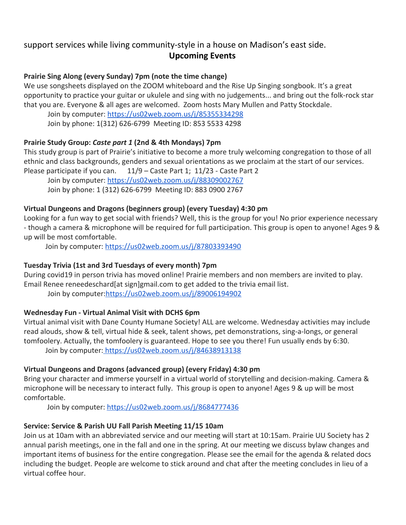# support services while living community-style in a house on Madison's east side. **Upcoming Events**

#### **Prairie Sing Along (every Sunday) 7pm (note the time change)**

We use songsheets displayed on the ZOOM whiteboard and the Rise Up Singing songbook. It's a great opportunity to practice your guitar or ukulele and sing with no judgements... and bring out the folk-rock star that you are. Everyone & all ages are welcomed. Zoom hosts Mary Mullen and Patty Stockdale.

[Join by computer](https://us02web.zoom.us/j/85355334298):<https://us02web.zoom.us/j/85355334298> Join by phone: 1(312) 626-6799 Meeting ID: 853 5533 4298

### **Prairie Study Group:** *Caste part 1* **(2nd & 4th Mondays) 7pm**

This study group is part of Prairie's initiative to become a more truly welcoming congregation to those of all ethnic and class backgrounds, genders and sexual orientations as we proclaim at the start of our services. Please participate if you can. 11/9 – Caste Part 1; 11/23 - Caste Part 2

Join by computer: <https://us02web.zoom.us/j/88309002767> Join by phone: 1 (312) 626-6799 Meeting ID: 883 0900 2767

### **Virtual Dungeons and Dragons (beginners group) (every Tuesday) 4:30 pm**

Looking for a fun way to get social with friends? Well, this is the group for you! No prior experience necessary - though a camera & microphone will be required for full participation. This group is open to anyone! Ages 9 & up will be most comfortable.

Join by computer: <https://us02web.zoom.us/j/87803393490>

## **Tuesday Trivia (1st and 3rd Tuesdays of every month) 7pm**

During covid19 in person trivia has moved online! Prairie members and non members are invited to play. Email Renee reneedeschard[at sign]gmail.com to get added to the trivia email list.

Join by computer[:https://us02web.zoom.us/j/89006194902](https://us02web.zoom.us/j/89006194902)

## **Wednesday Fun - Virtual Animal Visit with DCHS 6pm**

Virtual animal visit with Dane County Humane Society! ALL are welcome. Wednesday activities may include read alouds, show & tell, virtual hide & seek, talent shows, pet demonstrations, sing-a-longs, or general tomfoolery. Actually, the tomfoolery is guaranteed. Hope to see you there! Fun usually ends by 6:30. Join by computer: <https://us02web.zoom.us/j/84638913138>

#### **Virtual Dungeons and Dragons (advanced group) (every Friday) 4:30 pm**

Bring your character and immerse yourself in a virtual world of storytelling and decision-making. Camera & microphone will be necessary to interact fully. This group is open to anyone! Ages 9 & up will be most comfortable.

Join by computer: <https://us02web.zoom.us/j/8684777436>

## **Service: Service & Parish UU Fall Parish Meeting 11/15 10am**

Join us at 10am with an abbreviated service and our meeting will start at 10:15am. Prairie UU Society has 2 annual parish meetings, one in the fall and one in the spring. At our meeting we discuss bylaw changes and important items of business for the entire congregation. Please see the email for the agenda & related docs including the budget. People are welcome to stick around and chat after the meeting concludes in lieu of a virtual coffee hour.